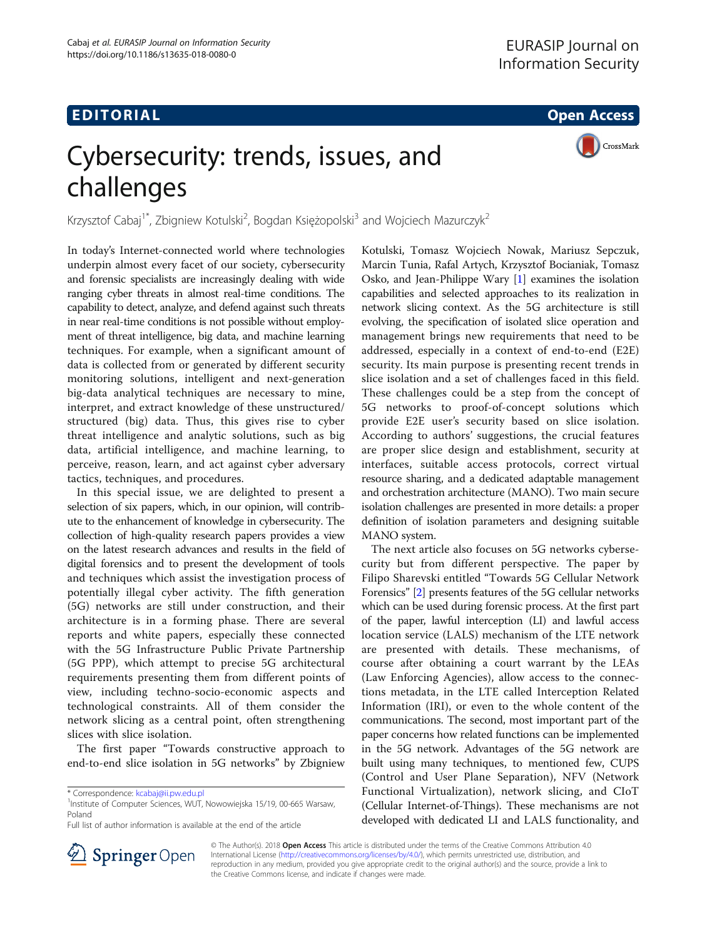## EDI TORIA L Open Access

CrossMark

# Cybersecurity: trends, issues, and challenges

Krzysztof Cabaj<sup>1\*</sup>, Zbigniew Kotulski<sup>2</sup>, Bogdan Księżopolski<sup>3</sup> and Wojciech Mazurczyk<sup>2</sup>

In today's Internet-connected world where technologies underpin almost every facet of our society, cybersecurity and forensic specialists are increasingly dealing with wide ranging cyber threats in almost real-time conditions. The capability to detect, analyze, and defend against such threats in near real-time conditions is not possible without employment of threat intelligence, big data, and machine learning techniques. For example, when a significant amount of data is collected from or generated by different security monitoring solutions, intelligent and next-generation big-data analytical techniques are necessary to mine, interpret, and extract knowledge of these unstructured/ structured (big) data. Thus, this gives rise to cyber threat intelligence and analytic solutions, such as big data, artificial intelligence, and machine learning, to perceive, reason, learn, and act against cyber adversary tactics, techniques, and procedures.

In this special issue, we are delighted to present a selection of six papers, which, in our opinion, will contribute to the enhancement of knowledge in cybersecurity. The collection of high-quality research papers provides a view on the latest research advances and results in the field of digital forensics and to present the development of tools and techniques which assist the investigation process of potentially illegal cyber activity. The fifth generation (5G) networks are still under construction, and their architecture is in a forming phase. There are several reports and white papers, especially these connected with the 5G Infrastructure Public Private Partnership (5G PPP), which attempt to precise 5G architectural requirements presenting them from different points of view, including techno-socio-economic aspects and technological constraints. All of them consider the network slicing as a central point, often strengthening slices with slice isolation.

The first paper "Towards constructive approach to end-to-end slice isolation in 5G networks" by Zbigniew

Full list of author information is available at the end of the article

Kotulski, Tomasz Wojciech Nowak, Mariusz Sepczuk, Marcin Tunia, Rafal Artych, Krzysztof Bocianiak, Tomasz Osko, and Jean-Philippe Wary [[1\]](#page-1-0) examines the isolation capabilities and selected approaches to its realization in network slicing context. As the 5G architecture is still evolving, the specification of isolated slice operation and management brings new requirements that need to be addressed, especially in a context of end-to-end (E2E) security. Its main purpose is presenting recent trends in slice isolation and a set of challenges faced in this field. These challenges could be a step from the concept of 5G networks to proof-of-concept solutions which provide E2E user's security based on slice isolation. According to authors' suggestions, the crucial features are proper slice design and establishment, security at interfaces, suitable access protocols, correct virtual resource sharing, and a dedicated adaptable management and orchestration architecture (MANO). Two main secure isolation challenges are presented in more details: a proper definition of isolation parameters and designing suitable MANO system.

The next article also focuses on 5G networks cybersecurity but from different perspective. The paper by Filipo Sharevski entitled "Towards 5G Cellular Network Forensics" [\[2\]](#page-1-0) presents features of the 5G cellular networks which can be used during forensic process. At the first part of the paper, lawful interception (LI) and lawful access location service (LALS) mechanism of the LTE network are presented with details. These mechanisms, of course after obtaining a court warrant by the LEAs (Law Enforcing Agencies), allow access to the connections metadata, in the LTE called Interception Related Information (IRI), or even to the whole content of the communications. The second, most important part of the paper concerns how related functions can be implemented in the 5G network. Advantages of the 5G network are built using many techniques, to mentioned few, CUPS (Control and User Plane Separation), NFV (Network Functional Virtualization), network slicing, and CIoT (Cellular Internet-of-Things). These mechanisms are not developed with dedicated LI and LALS functionality, and



© The Author(s). 2018 Open Access This article is distributed under the terms of the Creative Commons Attribution 4.0 International License ([http://creativecommons.org/licenses/by/4.0/\)](http://creativecommons.org/licenses/by/4.0/), which permits unrestricted use, distribution, and reproduction in any medium, provided you give appropriate credit to the original author(s) and the source, provide a link to the Creative Commons license, and indicate if changes were made.

<sup>\*</sup> Correspondence: [kcabaj@ii.pw.edu.pl](mailto:kcabaj@ii.pw.edu.pl) <sup>1</sup>

<sup>&</sup>lt;sup>1</sup>Institute of Computer Sciences, WUT, Nowowiejska 15/19, 00-665 Warsaw, Poland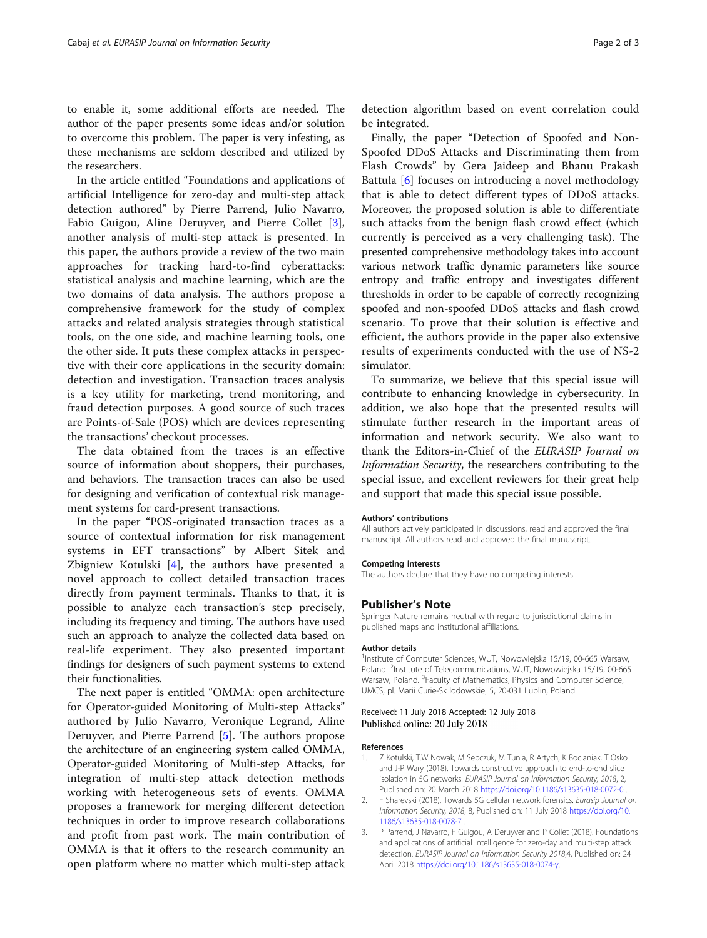<span id="page-1-0"></span>to enable it, some additional efforts are needed. The author of the paper presents some ideas and/or solution to overcome this problem. The paper is very infesting, as these mechanisms are seldom described and utilized by the researchers.

In the article entitled "Foundations and applications of artificial Intelligence for zero-day and multi-step attack detection authored" by Pierre Parrend, Julio Navarro, Fabio Guigou, Aline Deruyver, and Pierre Collet [3], another analysis of multi-step attack is presented. In this paper, the authors provide a review of the two main approaches for tracking hard-to-find cyberattacks: statistical analysis and machine learning, which are the two domains of data analysis. The authors propose a comprehensive framework for the study of complex attacks and related analysis strategies through statistical tools, on the one side, and machine learning tools, one the other side. It puts these complex attacks in perspective with their core applications in the security domain: detection and investigation. Transaction traces analysis is a key utility for marketing, trend monitoring, and fraud detection purposes. A good source of such traces are Points-of-Sale (POS) which are devices representing the transactions' checkout processes.

The data obtained from the traces is an effective source of information about shoppers, their purchases, and behaviors. The transaction traces can also be used for designing and verification of contextual risk management systems for card-present transactions.

In the paper "POS-originated transaction traces as a source of contextual information for risk management systems in EFT transactions" by Albert Sitek and Zbigniew Kotulski [\[4](#page-2-0)], the authors have presented a novel approach to collect detailed transaction traces directly from payment terminals. Thanks to that, it is possible to analyze each transaction's step precisely, including its frequency and timing. The authors have used such an approach to analyze the collected data based on real-life experiment. They also presented important findings for designers of such payment systems to extend their functionalities.

The next paper is entitled "OMMA: open architecture for Operator-guided Monitoring of Multi-step Attacks" authored by Julio Navarro, Veronique Legrand, Aline Deruyver, and Pierre Parrend [[5\]](#page-2-0). The authors propose the architecture of an engineering system called OMMA, Operator-guided Monitoring of Multi-step Attacks, for integration of multi-step attack detection methods working with heterogeneous sets of events. OMMA proposes a framework for merging different detection techniques in order to improve research collaborations and profit from past work. The main contribution of OMMA is that it offers to the research community an open platform where no matter which multi-step attack

detection algorithm based on event correlation could be integrated.

Finally, the paper "Detection of Spoofed and Non-Spoofed DDoS Attacks and Discriminating them from Flash Crowds" by Gera Jaideep and Bhanu Prakash Battula [[6\]](#page-2-0) focuses on introducing a novel methodology that is able to detect different types of DDoS attacks. Moreover, the proposed solution is able to differentiate such attacks from the benign flash crowd effect (which currently is perceived as a very challenging task). The presented comprehensive methodology takes into account various network traffic dynamic parameters like source entropy and traffic entropy and investigates different thresholds in order to be capable of correctly recognizing spoofed and non-spoofed DDoS attacks and flash crowd scenario. To prove that their solution is effective and efficient, the authors provide in the paper also extensive results of experiments conducted with the use of NS-2 simulator.

To summarize, we believe that this special issue will contribute to enhancing knowledge in cybersecurity. In addition, we also hope that the presented results will stimulate further research in the important areas of information and network security. We also want to thank the Editors-in-Chief of the EURASIP Journal on Information Security, the researchers contributing to the special issue, and excellent reviewers for their great help and support that made this special issue possible.

#### Authors' contributions

All authors actively participated in discussions, read and approved the final manuscript. All authors read and approved the final manuscript.

#### Competing interests

The authors declare that they have no competing interests.

#### Publisher's Note

Springer Nature remains neutral with regard to jurisdictional claims in published maps and institutional affiliations.

#### Author details

<sup>1</sup>Institute of Computer Sciences, WUT, Nowowiejska 15/19, 00-665 Warsaw Poland. <sup>2</sup>Institute of Telecommunications, WUT, Nowowiejska 15/19, 00-665 Warsaw, Poland. <sup>3</sup>Faculty of Mathematics, Physics and Computer Science, UMCS, pl. Marii Curie-Sk lodowskiej 5, 20-031 Lublin, Poland.

#### Received: 11 July 2018 Accepted: 12 July 2018 Published online: 20 July 2018

#### References

- 1. Z Kotulski, T.W Nowak, M Sepczuk, M Tunia, R Artych, K Bocianiak, T Osko and J-P Wary (2018). Towards constructive approach to end-to-end slice isolation in 5G networks. EURASIP Journal on Information Security, 2018, 2, Published on: 20 March 2018 <https://doi.org/10.1186/s13635-018-0072-0> .
- 2. F Sharevski (2018). Towards 5G cellular network forensics. Eurasip Journal on Information Security, 2018, 8, Published on: 11 July 2018 [https://doi.org/10.](https://doi.org/10.1186/s13635-018-0078-7) [1186/s13635-018-0078-7](https://doi.org/10.1186/s13635-018-0078-7) .
- 3. P Parrend, J Navarro, F Guigou, A Deruyver and P Collet (2018). Foundations and applications of artificial intelligence for zero-day and multi-step attack detection. EURASIP Journal on Information Security 2018,4, Published on: 24 April 2018 [https://doi.org/10.1186/s13635-018-0074-y.](https://doi.org/10.1186/s13635-018-0074-y)